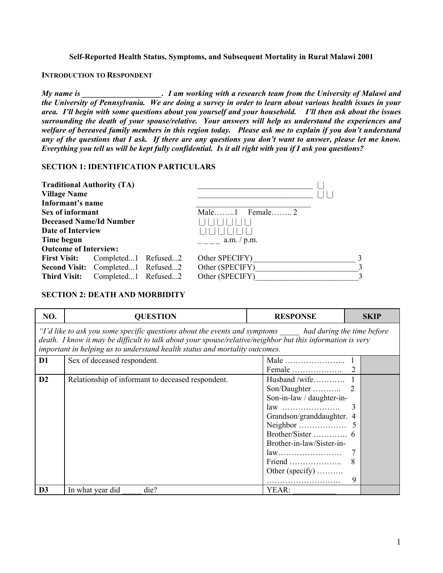## **Self-Reported Health Status, Symptoms, and Subsequent Mortality in Rural Malawi 2001**

## **INTRODUCTION TO RESPONDENT**

*My name is \_\_\_\_\_\_\_\_\_\_\_\_\_\_\_\_\_\_\_\_. I am working with a research team from the University of Malawi and the University of Pennsylvania. We are doing a survey in order to learn about various health issues in your area. I'll begin with some questions about you yourself and your household. I'll then ask about the issues surrounding the death of your spouse/relative. Your answers will help us understand the experiences and welfare of bereaved family members in this region today. Please ask me to explain if you don't understand any of the questions that I ask.**If there are any questions you don't want to answer, please let me know. Everything you tell us will be kept fully confidential.**Is it all right with you if I ask you questions?* 

## **SECTION 1: IDENTIFICATION PARTICULARS**

| <b>Traditional Authority (TA)</b> |                                   |                   |               |
|-----------------------------------|-----------------------------------|-------------------|---------------|
| <b>Village Name</b>               |                                   |                   |               |
| Informant's name                  |                                   |                   |               |
| Sex of informant                  |                                   | Male $1$ Female 2 |               |
| <b>Deceased Name/Id Number</b>    |                                   |                   |               |
| <b>Date of Interview</b>          |                                   |                   |               |
| Time begun                        |                                   | a.m. / p.m.       |               |
| <b>Outcome of Interview:</b>      |                                   |                   |               |
| <b>First Visit:</b>               | Completed1 Refused2               | Other SPECIFY)    |               |
|                                   | Second Visit: Completed1 Refused2 | Other (SPECIFY)   |               |
| <b>Third Visit:</b>               | Completed1 Refused2               | Other (SPECIFY)   | $\mathcal{R}$ |

## **SECTION 2: DEATH AND MORBIDITY**

| NO.                                                                                                                                                                                                                                                                                                      | <b>QUESTION</b>                                   | <b>RESPONSE</b>                                                                                                                                            | <b>SKIP</b> |  |
|----------------------------------------------------------------------------------------------------------------------------------------------------------------------------------------------------------------------------------------------------------------------------------------------------------|---------------------------------------------------|------------------------------------------------------------------------------------------------------------------------------------------------------------|-------------|--|
| "I'd like to ask you some specific questions about the events and symptoms _____ had during the time before<br>death. I know it may be difficult to talk about your spouse/relative/neighbor but this information is very<br>important in helping us to understand health status and mortality outcomes. |                                                   |                                                                                                                                                            |             |  |
| D1                                                                                                                                                                                                                                                                                                       | Sex of deceased respondent.                       | $Female \dots \dots \dots \dots \dots$                                                                                                                     | 2           |  |
| D2                                                                                                                                                                                                                                                                                                       | Relationship of informant to deceased respondent. | Husband /wife<br>Son/Daughter<br>Son-in-law / daughter-in-<br>law<br>Grandson/granddaughter. 4<br>Neighbor<br>Brother-in-law/Sister-in-<br>Other (specify) | 9           |  |
| D <sub>3</sub>                                                                                                                                                                                                                                                                                           | In what year did<br>die?                          | YEAR:                                                                                                                                                      |             |  |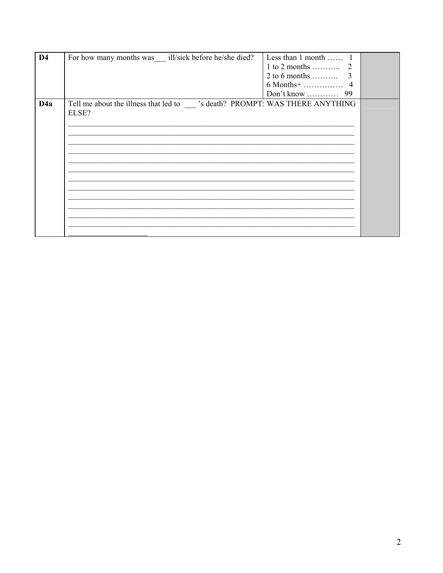| D <sub>4</sub> | For how many months was ill/sick before he/she died?                                  | Less than $1$ month               |  |
|----------------|---------------------------------------------------------------------------------------|-----------------------------------|--|
|                |                                                                                       | $1$ to $2$ months<br><sup>2</sup> |  |
|                |                                                                                       | 2 to 6 months<br>3                |  |
|                |                                                                                       |                                   |  |
|                |                                                                                       |                                   |  |
| D4a            | Tell me about the illness that led to<br>S death? PROMPT: WAS THERE ANYTHING<br>ELSE? |                                   |  |
|                |                                                                                       |                                   |  |
|                |                                                                                       |                                   |  |
|                |                                                                                       |                                   |  |
|                |                                                                                       |                                   |  |
|                |                                                                                       |                                   |  |
|                |                                                                                       |                                   |  |
|                |                                                                                       |                                   |  |
|                |                                                                                       |                                   |  |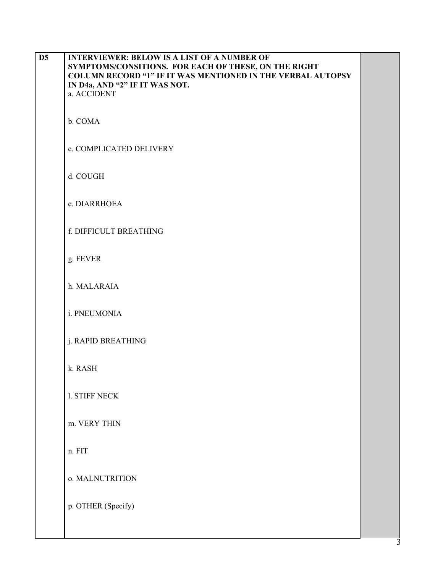| D <sub>5</sub> | <b>INTERVIEWER: BELOW IS A LIST OF A NUMBER OF</b><br>SYMPTOMS/CONSITIONS. FOR EACH OF THESE, ON THE RIGHT<br><b>COLUMN RECORD "1" IF IT WAS MENTIONED IN THE VERBAL AUTOPSY</b><br>IN D4a, AND "2" IF IT WAS NOT.<br>a. ACCIDENT |  |
|----------------|-----------------------------------------------------------------------------------------------------------------------------------------------------------------------------------------------------------------------------------|--|
|                | b. COMA                                                                                                                                                                                                                           |  |
|                | c. COMPLICATED DELIVERY                                                                                                                                                                                                           |  |
|                | d. COUGH                                                                                                                                                                                                                          |  |
|                | e. DIARRHOEA                                                                                                                                                                                                                      |  |
|                | f. DIFFICULT BREATHING                                                                                                                                                                                                            |  |
|                | g. FEVER                                                                                                                                                                                                                          |  |
|                | h. MALARAIA                                                                                                                                                                                                                       |  |
|                | i. PNEUMONIA                                                                                                                                                                                                                      |  |
|                | j. RAPID BREATHING                                                                                                                                                                                                                |  |
|                | k. RASH                                                                                                                                                                                                                           |  |
|                | <b>1. STIFF NECK</b>                                                                                                                                                                                                              |  |
|                | m. VERY THIN                                                                                                                                                                                                                      |  |
|                | n. FIT                                                                                                                                                                                                                            |  |
|                | o. MALNUTRITION                                                                                                                                                                                                                   |  |
|                | p. OTHER (Specify)                                                                                                                                                                                                                |  |
|                |                                                                                                                                                                                                                                   |  |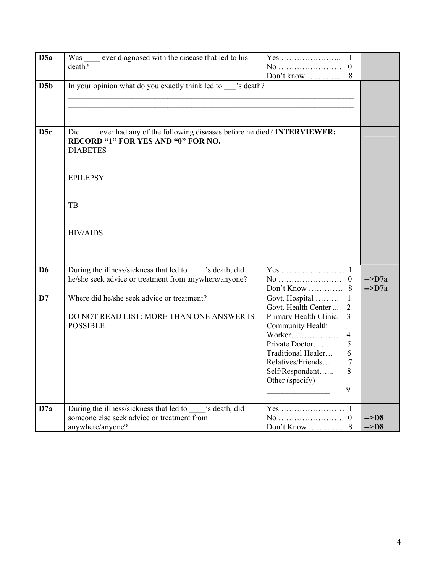| D <sub>5a</sub>  | Was ever diagnosed with the disease that led to his<br>death?                                                                                                      | $\mathbf{1}$<br>Yes<br>Don't know                                                                                                                                                                                                                                       |                                    |
|------------------|--------------------------------------------------------------------------------------------------------------------------------------------------------------------|-------------------------------------------------------------------------------------------------------------------------------------------------------------------------------------------------------------------------------------------------------------------------|------------------------------------|
| D <sub>5</sub> b | In your opinion what do you exactly think led to seath?                                                                                                            |                                                                                                                                                                                                                                                                         |                                    |
| D <sub>5c</sub>  | Did ever had any of the following diseases before he died? <b>INTERVIEWER</b> :<br><b>RECORD "1" FOR YES AND "0" FOR NO.</b><br><b>DIABETES</b><br><b>EPILEPSY</b> |                                                                                                                                                                                                                                                                         |                                    |
|                  | TB                                                                                                                                                                 |                                                                                                                                                                                                                                                                         |                                    |
|                  | <b>HIV/AIDS</b>                                                                                                                                                    |                                                                                                                                                                                                                                                                         |                                    |
| D <sub>6</sub>   | During the illness/sickness that led to _____'s death, did<br>he/she seek advice or treatment from anywhere/anyone?                                                | No<br>$\overline{0}$<br>Don't Know<br>8                                                                                                                                                                                                                                 | $\sim$ D7a<br>$\sim$ D7a           |
| D7               | Where did he/she seek advice or treatment?<br>DO NOT READ LIST: MORE THAN ONE ANSWER IS<br><b>POSSIBLE</b>                                                         | Govt. Hospital<br>1<br>Govt. Health Center<br>$\overline{2}$<br>$\overline{3}$<br>Primary Health Clinic.<br>Community Health<br>Worker<br>4<br>Private Doctor<br>5<br>Traditional Healer<br>6<br>Relatives/Friends<br>7<br>8<br>Self/Respondent<br>Other (specify)<br>9 |                                    |
| D7a              | During the illness/sickness that led to case is death, did<br>someone else seek advice or treatment from<br>anywhere/anyone?                                       | Yes<br>-1<br>No<br>$\boldsymbol{0}$<br>Don't Know<br>8                                                                                                                                                                                                                  | $\sim$ D <sub>8</sub><br>$\sim$ D8 |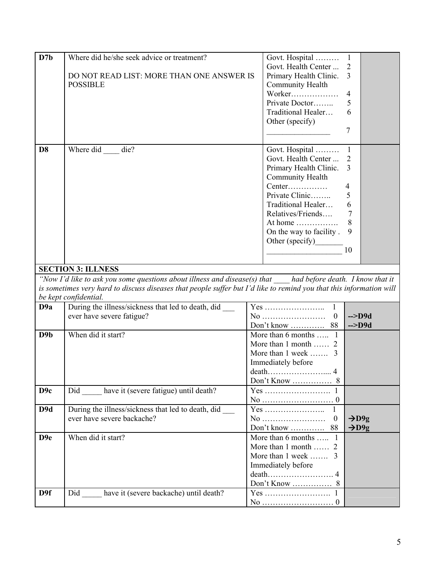| $\overline{D7b}$ | Where did he/she seek advice or treatment?                                                                          | Govt. Hospital<br>$\mathbf{1}$              |
|------------------|---------------------------------------------------------------------------------------------------------------------|---------------------------------------------|
|                  |                                                                                                                     | Govt. Health Center<br>$\overline{2}$       |
|                  | DO NOT READ LIST: MORE THAN ONE ANSWER IS                                                                           | $\overline{3}$<br>Primary Health Clinic.    |
|                  | <b>POSSIBLE</b>                                                                                                     | Community Health                            |
|                  |                                                                                                                     | Worker<br>$\overline{4}$                    |
|                  |                                                                                                                     | Private Doctor<br>5                         |
|                  |                                                                                                                     | Traditional Healer<br>6                     |
|                  |                                                                                                                     | Other (specify)                             |
|                  |                                                                                                                     |                                             |
|                  |                                                                                                                     | 7                                           |
| D <sub>8</sub>   | Where did die?                                                                                                      | Govt. Hospital<br>$\mathbf{1}$              |
|                  |                                                                                                                     | Govt. Health Center<br>$\overline{2}$       |
|                  |                                                                                                                     | $\overline{3}$<br>Primary Health Clinic.    |
|                  |                                                                                                                     | Community Health                            |
|                  |                                                                                                                     | Center<br>$\overline{\mathcal{A}}$          |
|                  |                                                                                                                     | Private Clinic<br>5                         |
|                  |                                                                                                                     | Traditional Healer<br>6                     |
|                  |                                                                                                                     | Relatives/Friends<br>$\overline{7}$         |
|                  |                                                                                                                     | At home $\dots\dots\dots\dots\dots$<br>8    |
|                  |                                                                                                                     | On the way to facility.<br>9                |
|                  |                                                                                                                     | Other (specify)                             |
|                  |                                                                                                                     | 10                                          |
|                  |                                                                                                                     |                                             |
|                  | <b>SECTION 3: ILLNESS</b>                                                                                           |                                             |
|                  | "Now I'd like to ask you some questions about illness and disease(s) that had before death. I know that it          |                                             |
|                  | is sometimes very hard to discuss diseases that people suffer but I'd like to remind you that this information will |                                             |
|                  | be kept confidential.                                                                                               |                                             |
| D <sub>9a</sub>  | During the illness/sickness that led to death, did _____                                                            | Yes<br>$\mathbf{1}$                         |
|                  | ever have severe fatigue?                                                                                           | No<br>$\boldsymbol{0}$<br>$\leftarrow$ >D9d |
|                  |                                                                                                                     | 88<br>Don't know<br>$\text{-}$ >D9d         |
| D <sub>9</sub> b | When did it start?                                                                                                  |                                             |
|                  |                                                                                                                     | More than 6 months  1                       |
|                  |                                                                                                                     | More than 1 month  2                        |
|                  |                                                                                                                     | More than 1 week  3                         |
|                  |                                                                                                                     | Immediately before                          |
|                  |                                                                                                                     |                                             |
|                  |                                                                                                                     |                                             |
| D <sub>9c</sub>  | Did have it (severe fatigue) until death?                                                                           |                                             |
|                  |                                                                                                                     |                                             |
| D9d              | During the illness/sickness that led to death, did                                                                  | 1                                           |
|                  | ever have severe backache?                                                                                          | $\boldsymbol{0}$<br>$\rightarrow$ D9g       |
|                  |                                                                                                                     | $\rightarrow$ D9g                           |
| D <sub>9e</sub>  | When did it start?                                                                                                  | More than $6$ months  1                     |
|                  |                                                                                                                     | More than 1 month  2                        |
|                  |                                                                                                                     | More than 1 week  3                         |
|                  |                                                                                                                     |                                             |
|                  |                                                                                                                     | Immediately before                          |
|                  |                                                                                                                     |                                             |
| D9f              | Did have it (severe backache) until death?                                                                          |                                             |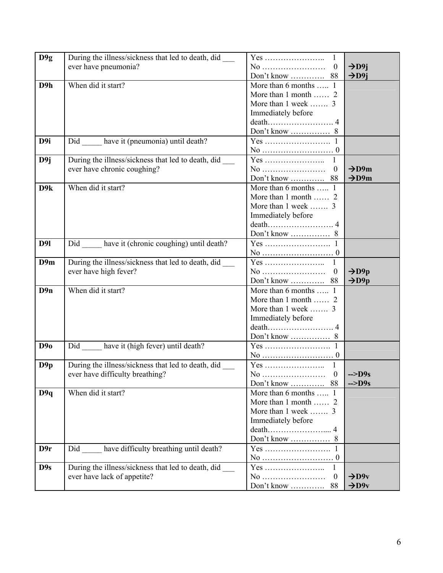| D9g | During the illness/sickness that led to death, did | $\mathbf{1}$                             |                   |
|-----|----------------------------------------------------|------------------------------------------|-------------------|
|     | ever have pneumonia?                               | $\boldsymbol{0}$                         | $\rightarrow$ D9j |
|     |                                                    | Don't know  88                           | $\rightarrow$ D9j |
| D9h | When did it start?                                 | More than 6 months $\overline{\ldots}$ 1 |                   |
|     |                                                    | More than 1 month  2                     |                   |
|     |                                                    | More than 1 week  3                      |                   |
|     |                                                    | Immediately before                       |                   |
|     |                                                    |                                          |                   |
|     |                                                    |                                          |                   |
| D9i | Did ______ have it (pneumonia) until death?        |                                          |                   |
|     |                                                    |                                          |                   |
| D9j | During the illness/sickness that led to death, did | Yes<br>1                                 |                   |
|     | ever have chronic coughing?                        | $\boldsymbol{0}$                         | $\rightarrow$ D9m |
|     |                                                    | Don't know  88                           | $\rightarrow$ D9m |
| D9k | When did it start?                                 | More than 6 months  1                    |                   |
|     |                                                    | More than 1 month  2                     |                   |
|     |                                                    | More than 1 week  3                      |                   |
|     |                                                    | Immediately before                       |                   |
|     |                                                    |                                          |                   |
|     |                                                    |                                          |                   |
| D91 | Did have it (chronic coughing) until death?        |                                          |                   |
|     |                                                    |                                          |                   |
| D9m | During the illness/sickness that led to death, did | $\mathbf{1}$                             |                   |
|     | ever have high fever?                              | No<br>$\boldsymbol{0}$                   | $\rightarrow$ D9p |
|     |                                                    | Don't know  88                           | $\rightarrow$ D9p |
| D9n | When did it start?                                 | More than 6 months  1                    |                   |
|     |                                                    | More than 1 month  2                     |                   |
|     |                                                    | More than 1 week  3                      |                   |
|     |                                                    | Immediately before                       |                   |
|     |                                                    |                                          |                   |
|     |                                                    |                                          |                   |
| D9o | Did have it (high fever) until death?              |                                          |                   |
|     |                                                    |                                          |                   |
| D9p | During the illness/sickness that led to death, did | $\mathbf{1}$                             |                   |
|     | ever have difficulty breathing?                    | No<br>$\Omega$                           | $\sim$ D9s        |
|     |                                                    |                                          | $\sim$ D9s        |
| D9q | When did it start?                                 | More than 6 months  1                    |                   |
|     |                                                    | More than 1 month  2                     |                   |
|     |                                                    | More than 1 week  3                      |                   |
|     |                                                    | Immediately before                       |                   |
|     |                                                    |                                          |                   |
|     |                                                    |                                          |                   |
| D9r | have difficulty breathing until death?<br>Did      |                                          |                   |
|     |                                                    |                                          |                   |
| D9s | During the illness/sickness that led to death, did | Yes<br>1                                 |                   |
|     | ever have lack of appetite?                        | No<br>$\boldsymbol{0}$                   | $\rightarrow$ D9v |
|     |                                                    |                                          | $\rightarrow$ D9v |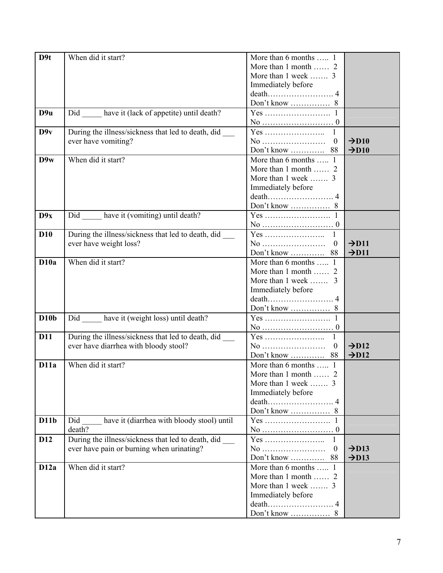| D <sub>9t</sub>   | When did it start?                                       | More than 6 months  1           |                   |
|-------------------|----------------------------------------------------------|---------------------------------|-------------------|
|                   |                                                          | More than 1 month  2            |                   |
|                   |                                                          | More than 1 week  3             |                   |
|                   |                                                          | Immediately before              |                   |
|                   |                                                          |                                 |                   |
|                   |                                                          |                                 |                   |
| D <sub>9u</sub>   | Did have it (lack of appetite) until death?              |                                 |                   |
|                   |                                                          |                                 |                   |
| D9v               | During the illness/sickness that led to death, did       |                                 |                   |
|                   | ever have vomiting?                                      | No<br>$\mathbf{0}$              | $\rightarrow$ D10 |
|                   |                                                          |                                 | $\rightarrow$ D10 |
| D9w               | When did it start?                                       | More than 6 months  1           |                   |
|                   |                                                          |                                 |                   |
|                   |                                                          | More than 1 month  2            |                   |
|                   |                                                          | More than 1 week  3             |                   |
|                   |                                                          | Immediately before              |                   |
|                   |                                                          |                                 |                   |
|                   |                                                          |                                 |                   |
| D9x               | Did ______ have it (vomiting) until death?               |                                 |                   |
|                   |                                                          |                                 |                   |
| <b>D10</b>        | During the illness/sickness that led to death, did       | $\mathbf{1}$                    |                   |
|                   | ever have weight loss?                                   |                                 | $\rightarrow$ D11 |
|                   |                                                          | Don't know  88                  | $\rightarrow$ D11 |
| D <sub>10</sub> a | When did it start?                                       | More than 6 months , $1$        |                   |
|                   |                                                          | More than 1 month  2            |                   |
|                   |                                                          | More than 1 week  3             |                   |
|                   |                                                          | Immediately before              |                   |
|                   |                                                          |                                 |                   |
|                   |                                                          |                                 |                   |
| D10b              | Did have it (weight loss) until death?                   |                                 |                   |
|                   |                                                          |                                 |                   |
| <b>D11</b>        | During the illness/sickness that led to death, did _____ | $\overline{1}$                  |                   |
|                   | ever have diarrhea with bloody stool?                    | $\boldsymbol{0}$                | $\rightarrow$ D12 |
|                   |                                                          | Don't know  88                  | $\rightarrow$ D12 |
| D11a              | When did it start?                                       | More than 6 months  1           |                   |
|                   |                                                          | More than 1 month $\ldots$<br>2 |                   |
|                   |                                                          | More than 1 week  3             |                   |
|                   |                                                          | Immediately before              |                   |
|                   |                                                          |                                 |                   |
|                   |                                                          |                                 |                   |
| D11b              | have it (diarrhea with bloody stool) until<br>Did        |                                 |                   |
|                   | death?                                                   |                                 |                   |
| D <sub>12</sub>   | During the illness/sickness that led to death, did       | 1                               |                   |
|                   | ever have pain or burning when urinating?                | No<br>$\boldsymbol{0}$          | $\rightarrow$ D13 |
|                   |                                                          | Don't know  88                  | $\rightarrow$ D13 |
| D12a              | When did it start?                                       | More than 6 months  1           |                   |
|                   |                                                          | More than 1 month  2            |                   |
|                   |                                                          | More than 1 week  3             |                   |
|                   |                                                          | Immediately before              |                   |
|                   |                                                          |                                 |                   |
|                   |                                                          |                                 |                   |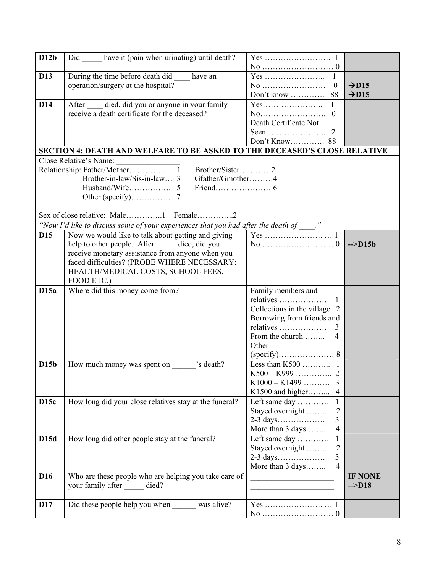| D12b            | Did have it (pain when urinating) until death?                                                |                                    |                   |
|-----------------|-----------------------------------------------------------------------------------------------|------------------------------------|-------------------|
|                 |                                                                                               |                                    |                   |
| <b>D13</b>      | During the time before death did have an                                                      |                                    |                   |
|                 | operation/surgery at the hospital?                                                            | $\boldsymbol{0}$                   | $\rightarrow$ D15 |
|                 |                                                                                               | Don't know  88                     | $\rightarrow$ D15 |
| D <sub>14</sub> | After died, did you or anyone in your family                                                  | Yes                                |                   |
|                 | receive a death certificate for the deceased?                                                 | No<br>$\theta$                     |                   |
|                 |                                                                                               | Death Certificate Not              |                   |
|                 |                                                                                               |                                    |                   |
|                 |                                                                                               |                                    |                   |
|                 | SECTION 4: DEATH AND WELFARE TO BE ASKED TO THE DECEASED'S CLOSE RELATIVE                     |                                    |                   |
|                 | Close Relative's Name:                                                                        |                                    |                   |
|                 | Brother/Sister2                                                                               |                                    |                   |
|                 | Brother-in-law/Sis-in-law 3<br>Gfather/Gmother4                                               |                                    |                   |
|                 |                                                                                               |                                    |                   |
|                 |                                                                                               |                                    |                   |
|                 |                                                                                               |                                    |                   |
|                 | "Now I'd like to discuss some of your experiences that you had after the death of $\qquad$ ." |                                    |                   |
| <b>D15</b>      | Now we would like to talk about getting and giving                                            |                                    |                   |
|                 | help to other people. After died, did you                                                     |                                    | $\sim$ D15b       |
|                 | receive monetary assistance from anyone when you                                              |                                    |                   |
|                 | faced difficulties? (PROBE WHERE NECESSARY:                                                   |                                    |                   |
|                 | HEALTH/MEDICAL COSTS, SCHOOL FEES,                                                            |                                    |                   |
|                 | FOOD ETC.)                                                                                    |                                    |                   |
| D15a            | Where did this money come from?                                                               | Family members and                 |                   |
|                 |                                                                                               | relatives<br>$\mathbf{I}$          |                   |
|                 |                                                                                               | Collections in the village 2       |                   |
|                 |                                                                                               | Borrowing from friends and         |                   |
|                 |                                                                                               | relatives<br>3                     |                   |
|                 |                                                                                               | From the church<br>4               |                   |
|                 |                                                                                               | Other                              |                   |
|                 |                                                                                               |                                    |                   |
| D15b            | How much money was spent on<br>'s death?                                                      | Less than $K500$<br>$\mathbf{1}$   |                   |
|                 |                                                                                               | $K500 - K999$<br>2                 |                   |
|                 |                                                                                               |                                    |                   |
|                 |                                                                                               | K1500 and higher 4                 |                   |
| <b>D15c</b>     | How long did your close relatives stay at the funeral?                                        | Left same day<br>$\mathbf{1}$      |                   |
|                 |                                                                                               | Stayed overnight<br>$\overline{2}$ |                   |
|                 |                                                                                               | 3                                  |                   |
|                 |                                                                                               | More than 3 days<br>$\overline{4}$ |                   |
| D15d            | How long did other people stay at the funeral?                                                | Left same day<br>$\mathbf{1}$      |                   |
|                 |                                                                                               | Stayed overnight<br>2              |                   |
|                 |                                                                                               | 3                                  |                   |
|                 |                                                                                               | More than 3 days<br>$\overline{4}$ |                   |
| D <sub>16</sub> | Who are these people who are helping you take care of                                         |                                    | IF NONE           |
|                 | your family after _____ died?                                                                 |                                    | $\sim$ D18        |
|                 |                                                                                               |                                    |                   |
| D17             | Did these people help you when was alive?                                                     |                                    |                   |
|                 |                                                                                               |                                    |                   |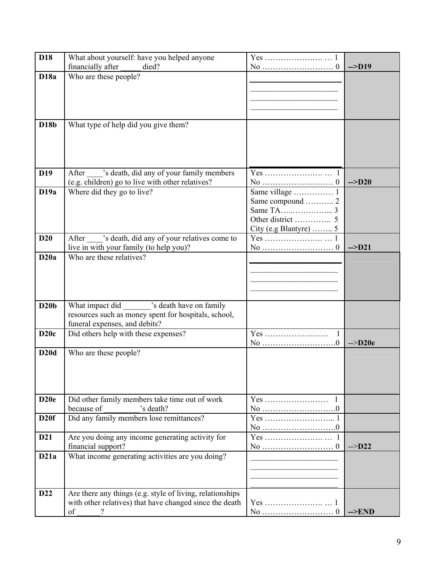| D18              | What about yourself: have you helped anyone               |                  |                   |
|------------------|-----------------------------------------------------------|------------------|-------------------|
|                  | financially after<br>died?                                |                  | $\rightarrow$ D19 |
| <b>D18a</b>      | Who are these people?                                     |                  |                   |
|                  |                                                           |                  |                   |
|                  |                                                           |                  |                   |
|                  |                                                           |                  |                   |
| <b>D18b</b>      | What type of help did you give them?                      |                  |                   |
|                  |                                                           |                  |                   |
|                  |                                                           |                  |                   |
|                  |                                                           |                  |                   |
|                  |                                                           |                  |                   |
| D <sub>19</sub>  | After _____ 's death, did any of your family members      |                  |                   |
|                  | (e.g. children) go to live with other relatives?          |                  | $\leftarrow$ D20  |
| D19a             | Where did they go to live?                                | Same village  1  |                   |
|                  |                                                           | Same compound  2 |                   |
|                  |                                                           |                  |                   |
|                  |                                                           |                  |                   |
| D20              | After _____'s death, did any of your relatives come to    |                  |                   |
|                  | live in with your family (to help you)?                   |                  | $\rightarrow$ D21 |
| D20a             | Who are these relatives?                                  |                  |                   |
|                  |                                                           |                  |                   |
|                  |                                                           |                  |                   |
|                  |                                                           |                  |                   |
|                  |                                                           |                  |                   |
| D20b             | What impact did ________ 's death have on family          |                  |                   |
|                  | resources such as money spent for hospitals, school,      |                  |                   |
|                  | funeral expenses, and debits?                             |                  |                   |
| D20c             | Did others help with these expenses?                      | 1                | $\leftarrow$ D20e |
| D20d             | Who are these people?                                     |                  |                   |
|                  |                                                           |                  |                   |
|                  |                                                           |                  |                   |
|                  |                                                           |                  |                   |
|                  |                                                           |                  |                   |
| D <sub>20e</sub> | Did other family members take time out of work            | Yes              |                   |
|                  | because of<br>'s death?                                   |                  |                   |
| D20f             | Did any family members lose remittances?                  |                  |                   |
| D21              | Are you doing any income generating activity for          |                  |                   |
|                  | financial support?                                        |                  | $\sim$ D22        |
| D21a             | What income generating activities are you doing?          |                  |                   |
|                  |                                                           |                  |                   |
|                  |                                                           |                  |                   |
|                  |                                                           |                  |                   |
| D22              | Are there any things (e.g. style of living, relationships |                  |                   |
|                  | with other relatives) that have changed since the death   |                  |                   |
|                  | of                                                        |                  | $\rightarrow$ END |